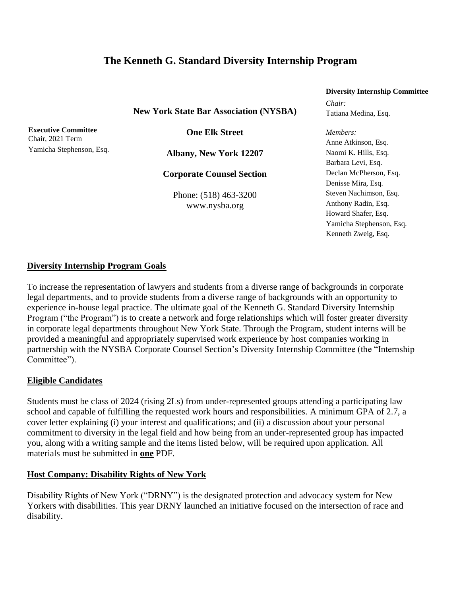# **The Kenneth G. Standard Diversity Internship Program**

**New York State Bar Association (NYSBA)**

**Executive Committee** Chair, 2021 Term Yamicha Stephenson, Esq.

**One Elk Street**

**Albany, New York 12207**

**Corporate Counsel Section**

Phone: (518) 463-3200 www.nysba.org

**Diversity Internship Committee** *Chair:* Tatiana Medina, Esq.

*Members:* Anne Atkinson, Esq. Naomi K. Hills, Esq. Barbara Levi, Esq. Declan McPherson, Esq. Denisse Mira, Esq. Steven Nachimson, Esq. Anthony Radin, Esq. Howard Shafer, Esq. Yamicha Stephenson, Esq. Kenneth Zweig, Esq.

#### **Diversity Internship Program Goals**

To increase the representation of lawyers and students from a diverse range of backgrounds in corporate legal departments, and to provide students from a diverse range of backgrounds with an opportunity to experience in-house legal practice. The ultimate goal of the Kenneth G. Standard Diversity Internship Program ("the Program") is to create a network and forge relationships which will foster greater diversity in corporate legal departments throughout New York State. Through the Program, student interns will be provided a meaningful and appropriately supervised work experience by host companies working in partnership with the NYSBA Corporate Counsel Section's Diversity Internship Committee (the "Internship Committee").

## **Eligible Candidates**

Students must be class of 2024 (rising 2Ls) from under-represented groups attending a participating law school and capable of fulfilling the requested work hours and responsibilities. A minimum GPA of 2.7, a cover letter explaining (i) your interest and qualifications; and (ii) a discussion about your personal commitment to diversity in the legal field and how being from an under-represented group has impacted you, along with a writing sample and the items listed below, will be required upon application. All materials must be submitted in **one** PDF.

#### **Host Company: Disability Rights of New York**

Disability Rights of New York ("DRNY") is the designated protection and advocacy system for New Yorkers with disabilities. This year DRNY launched an initiative focused on the intersection of race and disability.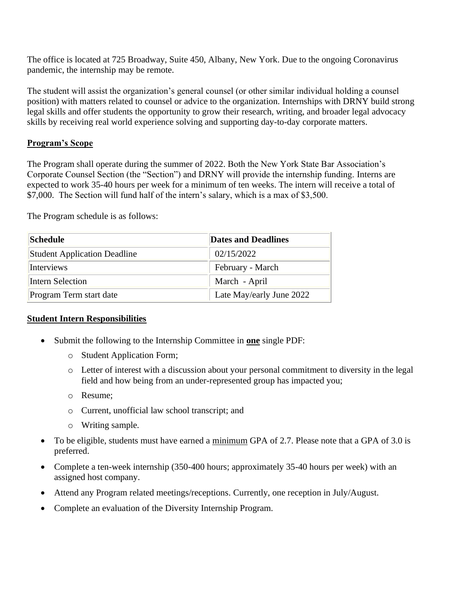The office is located at 725 Broadway, Suite 450, Albany, New York. Due to the ongoing Coronavirus pandemic, the internship may be remote.

The student will assist the organization's general counsel (or other similar individual holding a counsel position) with matters related to counsel or advice to the organization. Internships with DRNY build strong legal skills and offer students the opportunity to grow their research, writing, and broader legal advocacy skills by receiving real world experience solving and supporting day-to-day corporate matters.

#### **Program's Scope**

The Program shall operate during the summer of 2022. Both the New York State Bar Association's Corporate Counsel Section (the "Section") and DRNY will provide the internship funding. Interns are expected to work 35-40 hours per week for a minimum of ten weeks. The intern will receive a total of \$7,000. The Section will fund half of the intern's salary, which is a max of \$3,500.

The Program schedule is as follows:

| Schedule                            | <b>Dates and Deadlines</b> |
|-------------------------------------|----------------------------|
| <b>Student Application Deadline</b> | 02/15/2022                 |
| Interviews                          | February - March           |
| Intern Selection                    | March - April              |
| Program Term start date             | Late May/early June 2022   |

#### **Student Intern Responsibilities**

- Submit the following to the Internship Committee in **one** single PDF:
	- o Student Application Form;
	- o Letter of interest with a discussion about your personal commitment to diversity in the legal field and how being from an under-represented group has impacted you;
	- o Resume;
	- o Current, unofficial law school transcript; and
	- o Writing sample.
- To be eligible, students must have earned a minimum GPA of 2.7. Please note that a GPA of 3.0 is preferred.
- Complete a ten-week internship (350-400 hours; approximately 35-40 hours per week) with an assigned host company.
- Attend any Program related meetings/receptions. Currently, one reception in July/August.
- Complete an evaluation of the Diversity Internship Program.